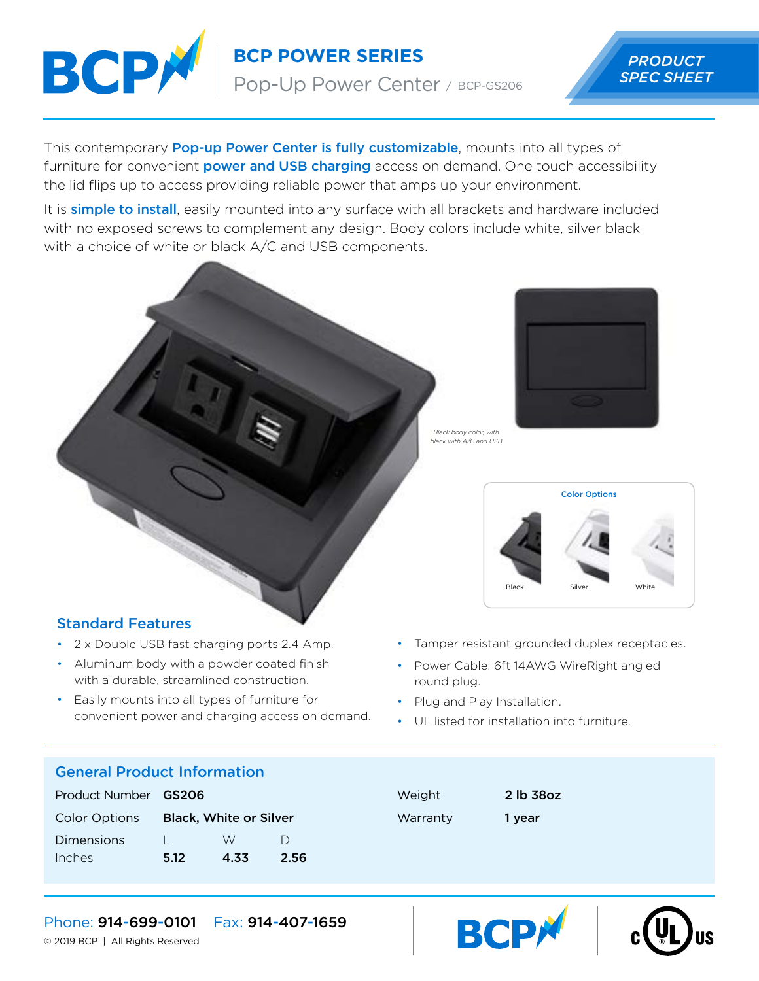

**BCP POWER SERIES**

Pop-Up Power Center / BCP-GS206

# *PRODUCT SPEC SHEET*

This contemporary **Pop-up Power Center is fully customizable**, mounts into all types of furniture for convenient **power and USB charging** access on demand. One touch accessibility the lid flips up to access providing reliable power that amps up your environment.

It is **simple to install**, easily mounted into any surface with all brackets and hardware included with no exposed screws to complement any design. Body colors include white, silver black with a choice of white or black A/C and USB components.



*black with A/C and USB*

*Black body color, with*



## Standard Features

- 2 x Double USB fast charging ports 2.4 Amp.
- Aluminum body with a powder coated finish with a durable, streamlined construction.
- Easily mounts into all types of furniture for convenient power and charging access on demand.
- Tamper resistant grounded duplex receptacles.
- Power Cable: 6ft 14AWG WireRight angled round plug.
- Plug and Play Installation.
- UL listed for installation into furniture.

#### General Product Information

| Product Number <b>GS206</b> |                               |      |        |
|-----------------------------|-------------------------------|------|--------|
| <b>Color Options</b>        | <b>Black, White or Silver</b> |      |        |
| Dimensions                  |                               | W    | $\Box$ |
| Inches                      | 5.12                          | 4.33 | 2.56   |

| Weight   |  |
|----------|--|
| Warranty |  |

2 lb 38oz 1 year





Phone: 914-699-0101 Fax: 914-407-1659

© 2019 BCP | All Rights Reserved